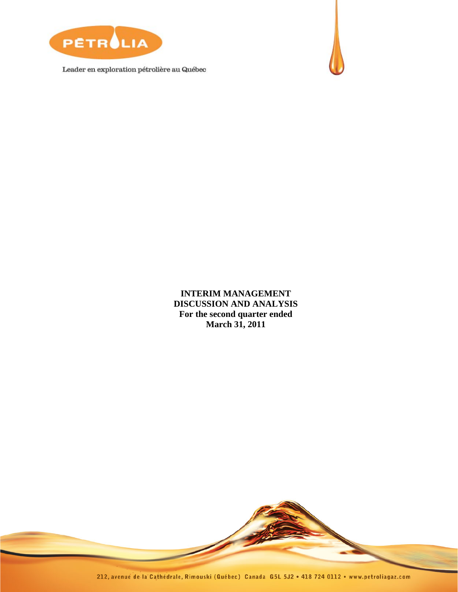

Leader en exploration pétrolière au Québec



**INTERIM MANAGEMENT DISCUSSION AND ANALYSIS For the second quarter ended March 31, 2011** 

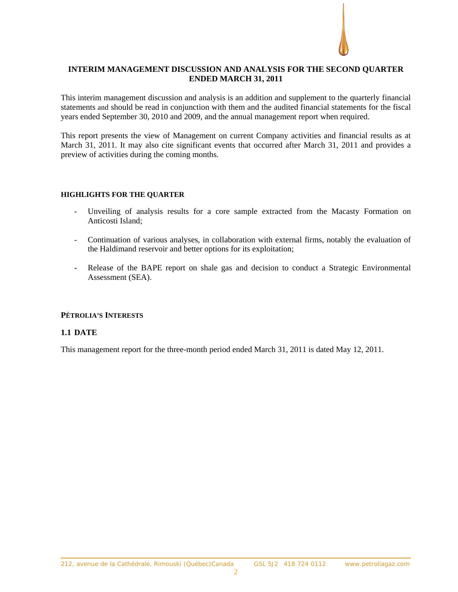# **INTERIM MANAGEMENT DISCUSSION AND ANALYSIS FOR THE SECOND QUARTER ENDED MARCH 31, 2011**

This interim management discussion and analysis is an addition and supplement to the quarterly financial statements and should be read in conjunction with them and the audited financial statements for the fiscal years ended September 30, 2010 and 2009, and the annual management report when required.

This report presents the view of Management on current Company activities and financial results as at March 31, 2011. It may also cite significant events that occurred after March 31, 2011 and provides a preview of activities during the coming months.

### **HIGHLIGHTS FOR THE QUARTER**

- Unveiling of analysis results for a core sample extracted from the Macasty Formation on Anticosti Island;
- Continuation of various analyses, in collaboration with external firms, notably the evaluation of the Haldimand reservoir and better options for its exploitation;
- Release of the BAPE report on shale gas and decision to conduct a Strategic Environmental Assessment (SEA).

# **PÉTROLIA'S INTERESTS**

# **1.1 DATE**

This management report for the three-month period ended March 31, 2011 is dated May 12, 2011.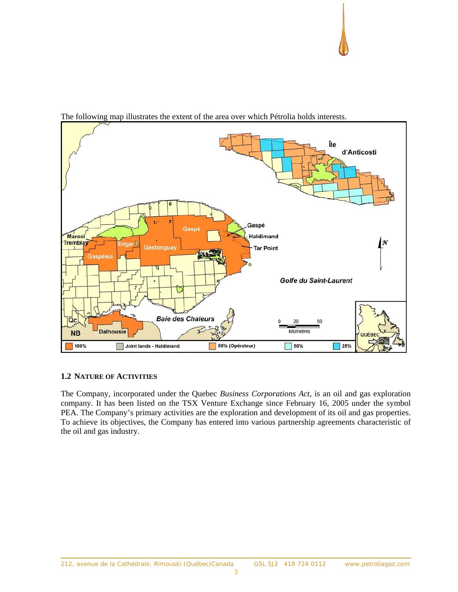

The following map illustrates the extent of the area over which Pétrolia holds interests.

# **1.2 NATURE OF ACTIVITIES**

The Company, incorporated under the Quebec *Business Corporations Act*, is an oil and gas exploration company. It has been listed on the TSX Venture Exchange since February 16, 2005 under the symbol PEA. The Company's primary activities are the exploration and development of its oil and gas properties. To achieve its objectives, the Company has entered into various partnership agreements characteristic of the oil and gas industry.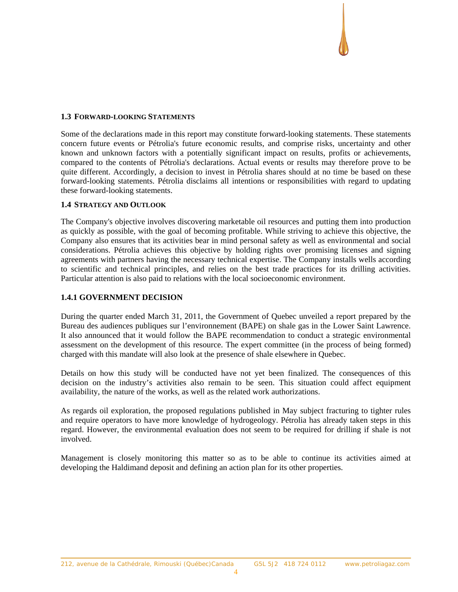### **1.3 FORWARD-LOOKING STATEMENTS**

Some of the declarations made in this report may constitute forward-looking statements. These statements concern future events or Pétrolia's future economic results, and comprise risks, uncertainty and other known and unknown factors with a potentially significant impact on results, profits or achievements, compared to the contents of Pétrolia's declarations. Actual events or results may therefore prove to be quite different. Accordingly, a decision to invest in Pétrolia shares should at no time be based on these forward-looking statements. Pétrolia disclaims all intentions or responsibilities with regard to updating these forward-looking statements.

### **1.4 STRATEGY AND OUTLOOK**

The Company's objective involves discovering marketable oil resources and putting them into production as quickly as possible, with the goal of becoming profitable. While striving to achieve this objective, the Company also ensures that its activities bear in mind personal safety as well as environmental and social considerations. Pétrolia achieves this objective by holding rights over promising licenses and signing agreements with partners having the necessary technical expertise. The Company installs wells according to scientific and technical principles, and relies on the best trade practices for its drilling activities. Particular attention is also paid to relations with the local socioeconomic environment.

# **1.4.1 GOVERNMENT DECISION**

During the quarter ended March 31, 2011, the Government of Quebec unveiled a report prepared by the Bureau des audiences publiques sur l'environnement (BAPE) on shale gas in the Lower Saint Lawrence. It also announced that it would follow the BAPE recommendation to conduct a strategic environmental assessment on the development of this resource. The expert committee (in the process of being formed) charged with this mandate will also look at the presence of shale elsewhere in Quebec.

Details on how this study will be conducted have not yet been finalized. The consequences of this decision on the industry's activities also remain to be seen. This situation could affect equipment availability, the nature of the works, as well as the related work authorizations.

As regards oil exploration, the proposed regulations published in May subject fracturing to tighter rules and require operators to have more knowledge of hydrogeology. Pétrolia has already taken steps in this regard. However, the environmental evaluation does not seem to be required for drilling if shale is not involved.

Management is closely monitoring this matter so as to be able to continue its activities aimed at developing the Haldimand deposit and defining an action plan for its other properties.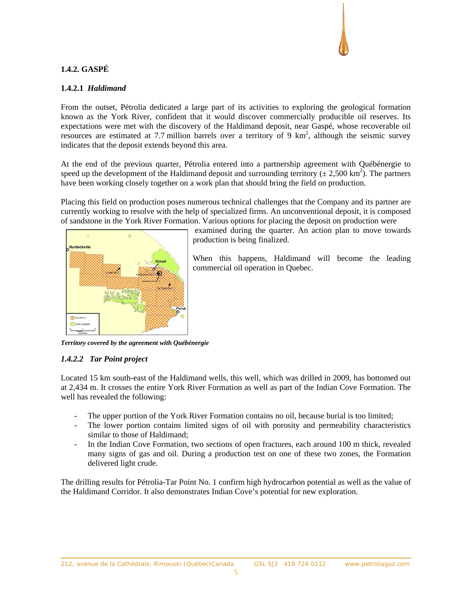# **1.4.2. GASPÉ**

# **1.4.2.1** *Haldimand*

From the outset, Pétrolia dedicated a large part of its activities to exploring the geological formation known as the York River, confident that it would discover commercially producible oil reserves. Its expectations were met with the discovery of the Haldimand deposit, near Gaspé, whose recoverable oil resources are estimated at 7.7 million barrels over a territory of 9  $km^2$ , although the seismic survey indicates that the deposit extends beyond this area.

At the end of the previous quarter, Pétrolia entered into a partnership agreement with Québénergie to speed up the development of the Haldimand deposit and surrounding territory ( $\pm 2,500$  km<sup>2</sup>). The partners have been working closely together on a work plan that should bring the field on production.

Placing this field on production poses numerous technical challenges that the Company and its partner are currently working to resolve with the help of specialized firms. An unconventional deposit, it is composed of sandstone in the York River Formation. Various options for placing the deposit on production were



 examined during the quarter. An action plan to move towards production is being finalized.

When this happens, Haldimand will become the leading commercial oil operation in Quebec.

*Territory covered by the agreement with Québénergie* 

# *1.4.2.2 Tar Point project*

Located 15 km south-east of the Haldimand wells, this well, which was drilled in 2009, has bottomed out at 2,434 m. It crosses the entire York River Formation as well as part of the Indian Cove Formation. The well has revealed the following:

- The upper portion of the York River Formation contains no oil, because burial is too limited;
- The lower portion contains limited signs of oil with porosity and permeability characteristics similar to those of Haldimand;
- In the Indian Cove Formation, two sections of open fractures, each around 100 m thick, revealed many signs of gas and oil. During a production test on one of these two zones, the Formation delivered light crude.

The drilling results for Pétrolia-Tar Point No. 1 confirm high hydrocarbon potential as well as the value of the Haldimand Corridor. It also demonstrates Indian Cove's potential for new exploration.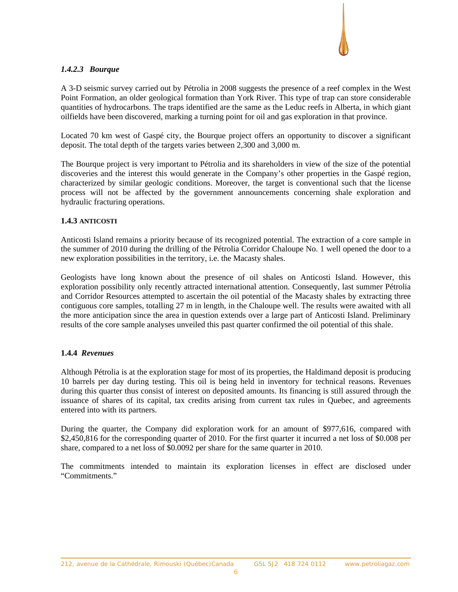

# *1.4.2.3 Bourque*

A 3-D seismic survey carried out by Pétrolia in 2008 suggests the presence of a reef complex in the West Point Formation, an older geological formation than York River. This type of trap can store considerable quantities of hydrocarbons. The traps identified are the same as the Leduc reefs in Alberta, in which giant oilfields have been discovered, marking a turning point for oil and gas exploration in that province.

Located 70 km west of Gaspé city, the Bourque project offers an opportunity to discover a significant deposit. The total depth of the targets varies between 2,300 and 3,000 m.

The Bourque project is very important to Pétrolia and its shareholders in view of the size of the potential discoveries and the interest this would generate in the Company's other properties in the Gaspé region, characterized by similar geologic conditions. Moreover, the target is conventional such that the license process will not be affected by the government announcements concerning shale exploration and hydraulic fracturing operations.

# **1.4.3 ANTICOSTI**

Anticosti Island remains a priority because of its recognized potential. The extraction of a core sample in the summer of 2010 during the drilling of the Pétrolia Corridor Chaloupe No. 1 well opened the door to a new exploration possibilities in the territory, i.e. the Macasty shales.

Geologists have long known about the presence of oil shales on Anticosti Island. However, this exploration possibility only recently attracted international attention. Consequently, last summer Pétrolia and Corridor Resources attempted to ascertain the oil potential of the Macasty shales by extracting three contiguous core samples, totalling 27 m in length, in the Chaloupe well. The results were awaited with all the more anticipation since the area in question extends over a large part of Anticosti Island. Preliminary results of the core sample analyses unveiled this past quarter confirmed the oil potential of this shale.

# **1.4.4** *Revenues*

Although Pétrolia is at the exploration stage for most of its properties, the Haldimand deposit is producing 10 barrels per day during testing. This oil is being held in inventory for technical reasons. Revenues during this quarter thus consist of interest on deposited amounts. Its financing is still assured through the issuance of shares of its capital, tax credits arising from current tax rules in Quebec, and agreements entered into with its partners.

During the quarter, the Company did exploration work for an amount of \$977,616, compared with \$2,450,816 for the corresponding quarter of 2010. For the first quarter it incurred a net loss of \$0.008 per share, compared to a net loss of \$0.0092 per share for the same quarter in 2010.

The commitments intended to maintain its exploration licenses in effect are disclosed under "Commitments."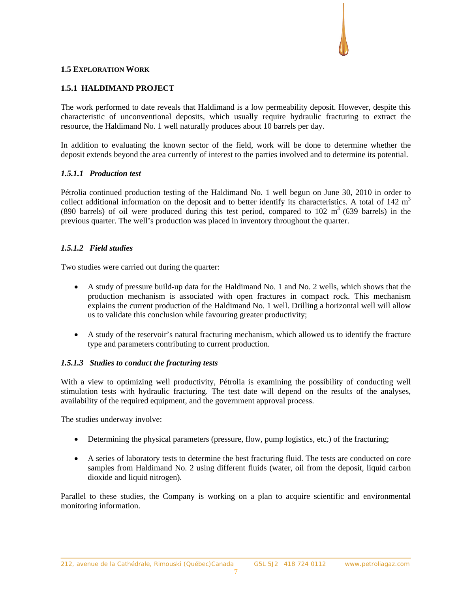# **1.5 EXPLORATION WORK**

# **1.5.1 HALDIMAND PROJECT**

The work performed to date reveals that Haldimand is a low permeability deposit. However, despite this characteristic of unconventional deposits, which usually require hydraulic fracturing to extract the resource, the Haldimand No. 1 well naturally produces about 10 barrels per day.

In addition to evaluating the known sector of the field, work will be done to determine whether the deposit extends beyond the area currently of interest to the parties involved and to determine its potential.

# *1.5.1.1**Production test*

Pétrolia continued production testing of the Haldimand No. 1 well begun on June 30, 2010 in order to collect additional information on the deposit and to better identify its characteristics. A total of  $142 \text{ m}^3$ (890 barrels) of oil were produced during this test period, compared to  $102 \text{ m}^3$  (639 barrels) in the previous quarter. The well's production was placed in inventory throughout the quarter.

# *1.5.1.2 Field studies*

Two studies were carried out during the quarter:

- A study of pressure build-up data for the Haldimand No. 1 and No. 2 wells, which shows that the production mechanism is associated with open fractures in compact rock. This mechanism explains the current production of the Haldimand No. 1 well. Drilling a horizontal well will allow us to validate this conclusion while favouring greater productivity;
- A study of the reservoir's natural fracturing mechanism, which allowed us to identify the fracture type and parameters contributing to current production.

# *1.5.1.3 Studies to conduct the fracturing tests*

With a view to optimizing well productivity, Pétrolia is examining the possibility of conducting well stimulation tests with hydraulic fracturing. The test date will depend on the results of the analyses, availability of the required equipment, and the government approval process.

The studies underway involve:

- Determining the physical parameters (pressure, flow, pump logistics, etc.) of the fracturing;
- A series of laboratory tests to determine the best fracturing fluid. The tests are conducted on core samples from Haldimand No. 2 using different fluids (water, oil from the deposit, liquid carbon dioxide and liquid nitrogen).

Parallel to these studies, the Company is working on a plan to acquire scientific and environmental monitoring information.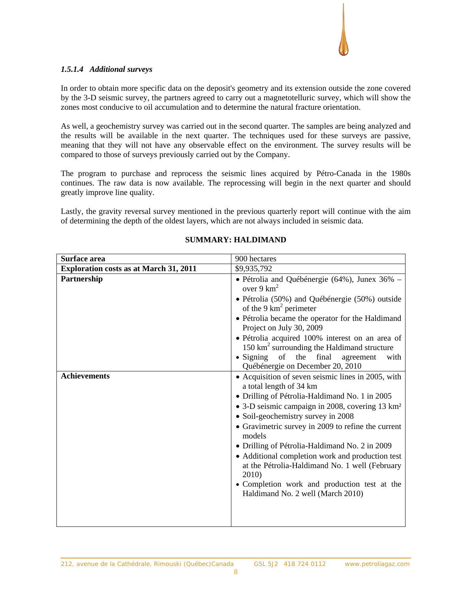

# *1.5.1.4 Additional surveys*

In order to obtain more specific data on the deposit's geometry and its extension outside the zone covered by the 3-D seismic survey, the partners agreed to carry out a magnetotelluric survey, which will show the zones most conducive to oil accumulation and to determine the natural fracture orientation.

As well, a geochemistry survey was carried out in the second quarter. The samples are being analyzed and the results will be available in the next quarter. The techniques used for these surveys are passive, meaning that they will not have any observable effect on the environment. The survey results will be compared to those of surveys previously carried out by the Company.

The program to purchase and reprocess the seismic lines acquired by Pétro-Canada in the 1980s continues. The raw data is now available. The reprocessing will begin in the next quarter and should greatly improve line quality.

Lastly, the gravity reversal survey mentioned in the previous quarterly report will continue with the aim of determining the depth of the oldest layers, which are not always included in seismic data.

| <b>Surface area</b>                           | 900 hectares                                                                                                                                                                                                                                                                                                                                                                                                                                                                                                                                               |
|-----------------------------------------------|------------------------------------------------------------------------------------------------------------------------------------------------------------------------------------------------------------------------------------------------------------------------------------------------------------------------------------------------------------------------------------------------------------------------------------------------------------------------------------------------------------------------------------------------------------|
| <b>Exploration costs as at March 31, 2011</b> | \$9,935,792                                                                                                                                                                                                                                                                                                                                                                                                                                                                                                                                                |
| Partnership                                   | · Pétrolia and Québénergie (64%), Junex 36% -<br>over $9 \text{ km}^2$<br>· Pétrolia (50%) and Québénergie (50%) outside<br>of the 9 $km^2$ perimeter<br>• Pétrolia became the operator for the Haldimand<br>Project on July 30, 2009<br>· Pétrolia acquired 100% interest on an area of<br>150 km <sup>2</sup> surrounding the Haldimand structure<br>of<br>$\bullet$ Signing<br>the<br>final<br>agreement<br>with<br>Québénergie on December 20, 2010                                                                                                    |
| <b>Achievements</b>                           | • Acquisition of seven seismic lines in 2005, with<br>a total length of 34 km<br>• Drilling of Pétrolia-Haldimand No. 1 in 2005<br>• 3-D seismic campaign in 2008, covering 13 km <sup>2</sup><br>• Soil-geochemistry survey in 2008<br>• Gravimetric survey in 2009 to refine the current<br>models<br>• Drilling of Pétrolia-Haldimand No. 2 in 2009<br>• Additional completion work and production test<br>at the Pétrolia-Haldimand No. 1 well (February<br>2010)<br>• Completion work and production test at the<br>Haldimand No. 2 well (March 2010) |

# **SUMMARY: HALDIMAND**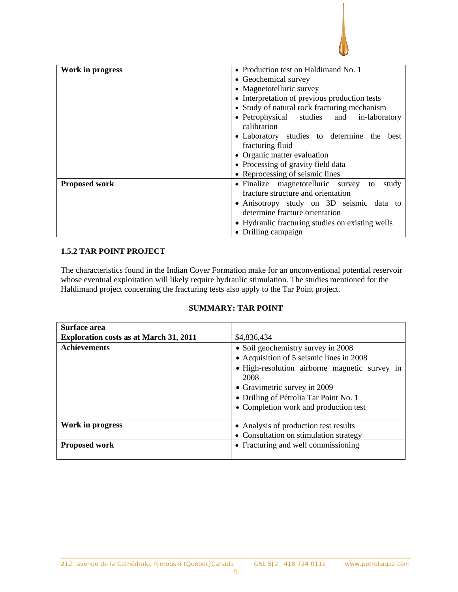

| <b>Work in progress</b> | • Production test on Haldimand No. 1             |  |  |
|-------------------------|--------------------------------------------------|--|--|
|                         | • Geochemical survey                             |  |  |
|                         | • Magnetotelluric survey                         |  |  |
|                         | • Interpretation of previous production tests    |  |  |
|                         | • Study of natural rock fracturing mechanism     |  |  |
|                         | • Petrophysical studies and in-laboratory        |  |  |
|                         | calibration                                      |  |  |
|                         | • Laboratory studies to determine the<br>best    |  |  |
|                         | fracturing fluid                                 |  |  |
|                         | • Organic matter evaluation                      |  |  |
|                         | • Processing of gravity field data               |  |  |
|                         | • Reprocessing of seismic lines                  |  |  |
| <b>Proposed work</b>    | • Finalize magnetotelluric survey<br>study<br>to |  |  |
|                         | fracture structure and orientation               |  |  |
|                         | • Anisotropy study on 3D seismic data to         |  |  |
|                         | determine fracture orientation                   |  |  |
|                         | • Hydraulic fracturing studies on existing wells |  |  |
|                         | • Drilling campaign                              |  |  |

# **1.5.2 TAR POINT PROJECT**

The characteristics found in the Indian Cover Formation make for an unconventional potential reservoir whose eventual exploitation will likely require hydraulic stimulation. The studies mentioned for the Haldimand project concerning the fracturing tests also apply to the Tar Point project.

# **SUMMARY: TAR POINT**

| Surface area                                  |                                                                                                                                                                                                                                                            |
|-----------------------------------------------|------------------------------------------------------------------------------------------------------------------------------------------------------------------------------------------------------------------------------------------------------------|
| <b>Exploration costs as at March 31, 2011</b> | \$4,836,434                                                                                                                                                                                                                                                |
| <b>Achievements</b>                           | • Soil geochemistry survey in 2008<br>• Acquisition of 5 seismic lines in 2008<br>• High-resolution airborne magnetic survey in<br>2008<br>• Gravimetric survey in 2009<br>· Drilling of Pétrolia Tar Point No. 1<br>• Completion work and production test |
| Work in progress                              | • Analysis of production test results<br>• Consultation on stimulation strategy                                                                                                                                                                            |
| <b>Proposed work</b>                          | • Fracturing and well commissioning                                                                                                                                                                                                                        |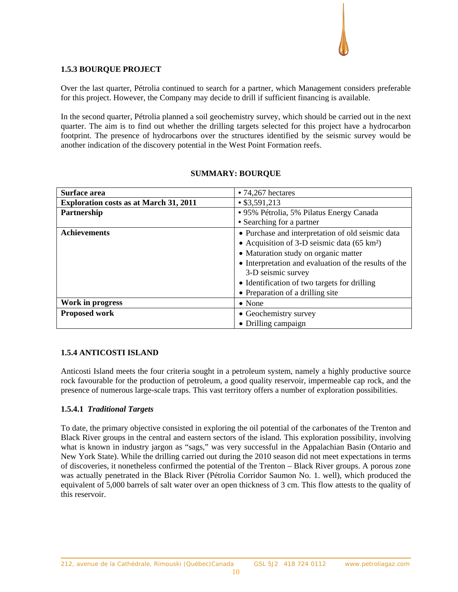# **1.5.3 BOURQUE PROJECT**

Over the last quarter, Pétrolia continued to search for a partner, which Management considers preferable for this project. However, the Company may decide to drill if sufficient financing is available.

In the second quarter, Pétrolia planned a soil geochemistry survey, which should be carried out in the next quarter. The aim is to find out whether the drilling targets selected for this project have a hydrocarbon footprint. The presence of hydrocarbons over the structures identified by the seismic survey would be another indication of the discovery potential in the West Point Formation reefs.

| Surface area                                  | $\bullet$ 74,267 hectares                                 |  |
|-----------------------------------------------|-----------------------------------------------------------|--|
| <b>Exploration costs as at March 31, 2011</b> | $\cdot$ \$3,591,213                                       |  |
| Partnership                                   | • 95% Pétrolia, 5% Pilatus Energy Canada                  |  |
|                                               | • Searching for a partner                                 |  |
| <b>Achievements</b>                           | • Purchase and interpretation of old seismic data         |  |
|                                               | • Acquisition of $3-D$ seismic data (65 km <sup>2</sup> ) |  |
|                                               | • Maturation study on organic matter                      |  |
|                                               | • Interpretation and evaluation of the results of the     |  |
|                                               | 3-D seismic survey                                        |  |
|                                               | • Identification of two targets for drilling              |  |
|                                               | • Preparation of a drilling site                          |  |
| Work in progress                              | • None                                                    |  |
| <b>Proposed work</b>                          | • Geochemistry survey                                     |  |
|                                               | • Drilling campaign                                       |  |

# **SUMMARY: BOURQUE**

# **1.5.4 ANTICOSTI ISLAND**

Anticosti Island meets the four criteria sought in a petroleum system, namely a highly productive source rock favourable for the production of petroleum, a good quality reservoir, impermeable cap rock, and the presence of numerous large-scale traps. This vast territory offers a number of exploration possibilities.

# **1.5.4.1** *Traditional Targets*

To date, the primary objective consisted in exploring the oil potential of the carbonates of the Trenton and Black River groups in the central and eastern sectors of the island. This exploration possibility, involving what is known in industry jargon as "sags," was very successful in the Appalachian Basin (Ontario and New York State). While the drilling carried out during the 2010 season did not meet expectations in terms of discoveries, it nonetheless confirmed the potential of the Trenton – Black River groups. A porous zone was actually penetrated in the Black River (Pétrolia Corridor Saumon No. 1. well), which produced the equivalent of 5,000 barrels of salt water over an open thickness of 3 cm. This flow attests to the quality of this reservoir.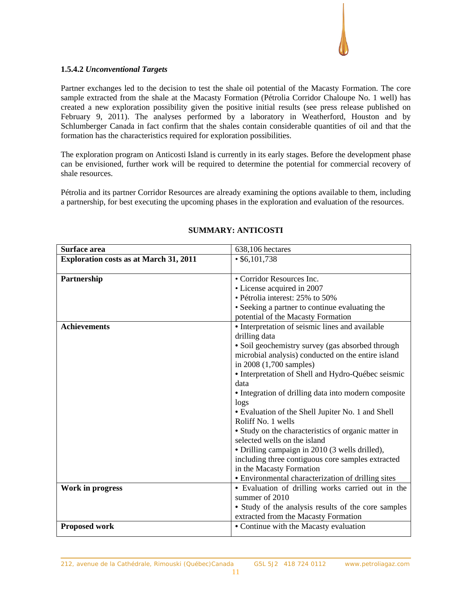

## **1.5.4.2** *Unconventional Targets*

Partner exchanges led to the decision to test the shale oil potential of the Macasty Formation. The core sample extracted from the shale at the Macasty Formation (Pétrolia Corridor Chaloupe No. 1 well) has created a new exploration possibility given the positive initial results (see press release published on February 9, 2011). The analyses performed by a laboratory in Weatherford, Houston and by Schlumberger Canada in fact confirm that the shales contain considerable quantities of oil and that the formation has the characteristics required for exploration possibilities.

The exploration program on Anticosti Island is currently in its early stages. Before the development phase can be envisioned, further work will be required to determine the potential for commercial recovery of shale resources.

Pétrolia and its partner Corridor Resources are already examining the options available to them, including a partnership, for best executing the upcoming phases in the exploration and evaluation of the resources.

| Surface area                                  | 638,106 hectares                                     |  |
|-----------------------------------------------|------------------------------------------------------|--|
| <b>Exploration costs as at March 31, 2011</b> | • \$6,101,738                                        |  |
|                                               |                                                      |  |
| Partnership                                   | • Corridor Resources Inc.                            |  |
|                                               | • License acquired in 2007                           |  |
|                                               | • Pétrolia interest: 25% to 50%                      |  |
|                                               | • Seeking a partner to continue evaluating the       |  |
|                                               | potential of the Macasty Formation                   |  |
| <b>Achievements</b>                           | • Interpretation of seismic lines and available      |  |
|                                               | drilling data                                        |  |
|                                               | • Soil geochemistry survey (gas absorbed through     |  |
|                                               | microbial analysis) conducted on the entire island   |  |
|                                               | in 2008 (1,700 samples)                              |  |
|                                               | · Interpretation of Shell and Hydro-Québec seismic   |  |
|                                               | data                                                 |  |
|                                               | • Integration of drilling data into modern composite |  |
|                                               | logs                                                 |  |
|                                               | • Evaluation of the Shell Jupiter No. 1 and Shell    |  |
|                                               | Roliff No. 1 wells                                   |  |
|                                               | • Study on the characteristics of organic matter in  |  |
|                                               | selected wells on the island                         |  |
|                                               | · Drilling campaign in 2010 (3 wells drilled),       |  |
|                                               | including three contiguous core samples extracted    |  |
|                                               | in the Macasty Formation                             |  |
|                                               | • Environmental characterization of drilling sites   |  |
| <b>Work in progress</b>                       | · Evaluation of drilling works carried out in the    |  |
|                                               | summer of 2010                                       |  |
|                                               | • Study of the analysis results of the core samples  |  |
|                                               | extracted from the Macasty Formation                 |  |
| <b>Proposed work</b>                          | • Continue with the Macasty evaluation               |  |

# **SUMMARY: ANTICOSTI**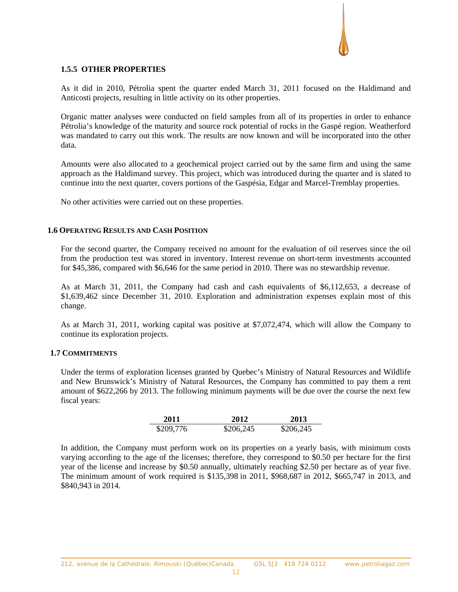

# **1.5.5 OTHER PROPERTIES**

As it did in 2010, Pétrolia spent the quarter ended March 31, 2011 focused on the Haldimand and Anticosti projects, resulting in little activity on its other properties.

Organic matter analyses were conducted on field samples from all of its properties in order to enhance Pétrolia's knowledge of the maturity and source rock potential of rocks in the Gaspé region. Weatherford was mandated to carry out this work. The results are now known and will be incorporated into the other data.

Amounts were also allocated to a geochemical project carried out by the same firm and using the same approach as the Haldimand survey. This project, which was introduced during the quarter and is slated to continue into the next quarter, covers portions of the Gaspésia, Edgar and Marcel-Tremblay properties.

No other activities were carried out on these properties.

# **1.6 OPERATING RESULTS AND CASH POSITION**

For the second quarter, the Company received no amount for the evaluation of oil reserves since the oil from the production test was stored in inventory. Interest revenue on short-term investments accounted for \$45,386, compared with \$6,646 for the same period in 2010. There was no stewardship revenue.

As at March 31, 2011, the Company had cash and cash equivalents of \$6,112,653, a decrease of \$1,639,462 since December 31, 2010. Exploration and administration expenses explain most of this change.

As at March 31, 2011, working capital was positive at \$7,072,474, which will allow the Company to continue its exploration projects.

# **1.7 COMMITMENTS**

Under the terms of exploration licenses granted by Quebec's Ministry of Natural Resources and Wildlife and New Brunswick's Ministry of Natural Resources, the Company has committed to pay them a rent amount of \$622,266 by 2013. The following minimum payments will be due over the course the next few fiscal years:

| 2011      | 2012      | 2013      |
|-----------|-----------|-----------|
| \$209,776 | \$206,245 | \$206,245 |

In addition, the Company must perform work on its properties on a yearly basis, with minimum costs varying according to the age of the licenses; therefore, they correspond to \$0.50 per hectare for the first year of the license and increase by \$0.50 annually, ultimately reaching \$2.50 per hectare as of year five. The minimum amount of work required is \$135,398 in 2011, \$968,687 in 2012, \$665,747 in 2013, and \$840,943 in 2014.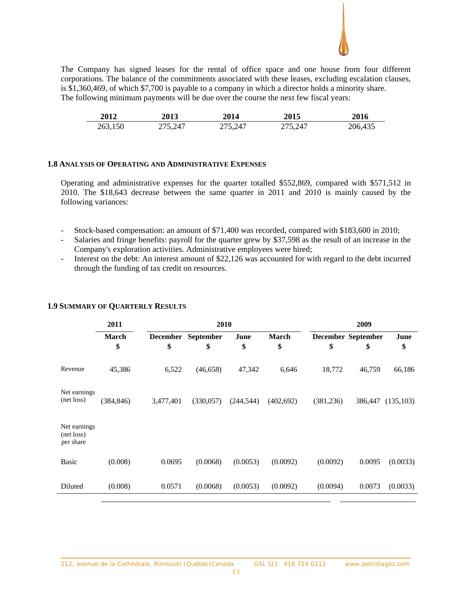

The Company has signed leases for the rental of office space and one house from four different corporations. The balance of the commitments associated with these leases, excluding escalation clauses, is \$1,360,469, of which \$7,700 is payable to a company in which a director holds a minority share. The following minimum payments will be due over the course the next few fiscal years:

| <b>2012</b> | <b>2013</b> | 2014    | 2015    | 2016    |
|-------------|-------------|---------|---------|---------|
| 263,150     | 275,247     | 275,247 | 275,247 | 206,435 |

# **1.8 ANALYSIS OF OPERATING AND ADMINISTRATIVE EXPENSES**

Operating and administrative expenses for the quarter totalled \$552,869, compared with \$571,512 in 2010. The \$18,643 decrease between the same quarter in 2011 and 2010 is mainly caused by the following variances:

- Stock-based compensation: an amount of \$71,400 was recorded, compared with \$183,600 in 2010;
- Salaries and fringe benefits: payroll for the quarter grew by \$37,598 as the result of an increase in the Company's exploration activities. Administrative employees were hired;
- Interest on the debt: An interest amount of \$22,126 was accounted for with regard to the debt incurred through the funding of tax credit on resources.

|                                         | 2011         |                 | 2010      |            |            |            | 2009                      |            |
|-----------------------------------------|--------------|-----------------|-----------|------------|------------|------------|---------------------------|------------|
|                                         | <b>March</b> | <b>December</b> | September | June       | March      |            | <b>December September</b> | June       |
|                                         | \$           | \$              | \$        | \$         | \$         | \$         | \$                        | \$         |
| Revenue                                 | 45,386       | 6,522           | (46, 658) | 47,342     | 6,646      | 18,772     | 46,759                    | 66,186     |
| Net earnings<br>(net loss)              | (384, 846)   | 3,477,401       | (330,057) | (244, 544) | (402, 692) | (381, 236) | 386,447                   | (135, 103) |
| Net earnings<br>(net loss)<br>per share |              |                 |           |            |            |            |                           |            |
| Basic                                   | (0.008)      | 0.0695          | (0.0068)  | (0.0053)   | (0.0092)   | (0.0092)   | 0.0095                    | (0.0033)   |
| Diluted                                 | (0.008)      | 0.0571          | (0.0068)  | (0.0053)   | (0.0092)   | (0.0094)   | 0.0073                    | (0.0033)   |

#### **1.9 SUMMARY OF QUARTERLY RESULTS**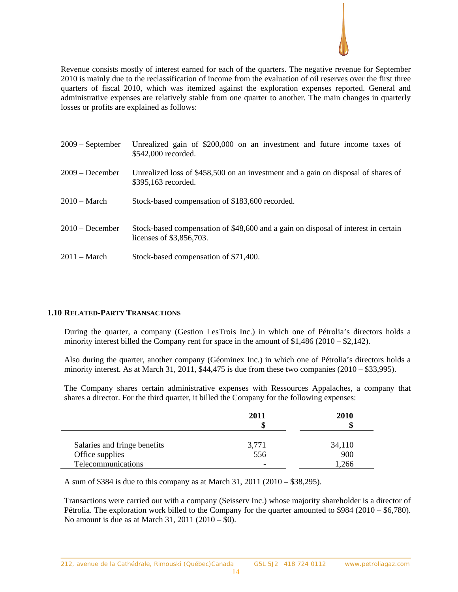

Revenue consists mostly of interest earned for each of the quarters. The negative revenue for September 2010 is mainly due to the reclassification of income from the evaluation of oil reserves over the first three quarters of fiscal 2010, which was itemized against the exploration expenses reported. General and administrative expenses are relatively stable from one quarter to another. The main changes in quarterly losses or profits are explained as follows:

| $2009 -$ September | Unrealized gain of \$200,000 on an investment and future income taxes of<br>\$542,000 recorded.                |
|--------------------|----------------------------------------------------------------------------------------------------------------|
| $2009 - December$  | Unrealized loss of \$458,500 on an investment and a gain on disposal of shares of<br>\$395,163 recorded.       |
| $2010 - March$     | Stock-based compensation of \$183,600 recorded.                                                                |
| $2010 - December$  | Stock-based compensation of \$48,600 and a gain on disposal of interest in certain<br>licenses of \$3,856,703. |
| $2011 - March$     | Stock-based compensation of \$71,400.                                                                          |

## **1.10 RELATED-PARTY TRANSACTIONS**

During the quarter, a company (Gestion LesTrois Inc.) in which one of Pétrolia's directors holds a minority interest billed the Company rent for space in the amount of  $$1,486 (2010 - $2,142)$ .

Also during the quarter, another company (Géominex Inc.) in which one of Pétrolia's directors holds a minority interest. As at March 31, 2011,  $$44,475$  is due from these two companies (2010 – \$33,995).

The Company shares certain administrative expenses with Ressources Appalaches, a company that shares a director. For the third quarter, it billed the Company for the following expenses:

|                              | 2011                     | <b>2010</b> |
|------------------------------|--------------------------|-------------|
| Salaries and fringe benefits | 3,771                    | 34,110      |
| Office supplies              | 556                      | 900         |
| Telecommunications           | $\overline{\phantom{0}}$ | .266        |

A sum of \$384 is due to this company as at March 31, 2011 (2010 – \$38,295).

Transactions were carried out with a company (Seisserv Inc.) whose majority shareholder is a director of Pétrolia. The exploration work billed to the Company for the quarter amounted to \$984 (2010 – \$6,780). No amount is due as at March 31, 2011 (2010 – \$0).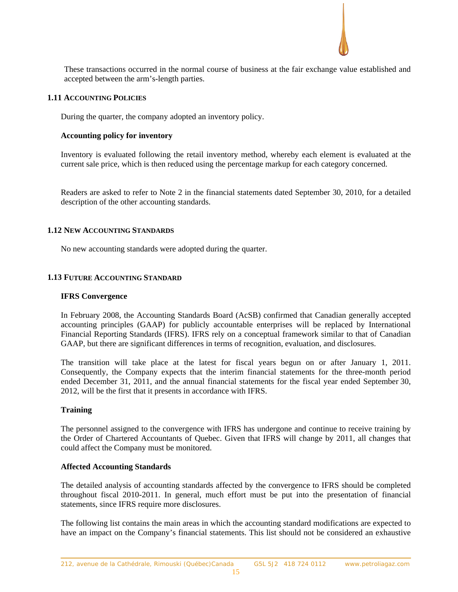

These transactions occurred in the normal course of business at the fair exchange value established and accepted between the arm's-length parties.

#### **1.11 ACCOUNTING POLICIES**

During the quarter, the company adopted an inventory policy.

### **Accounting policy for inventory**

Inventory is evaluated following the retail inventory method, whereby each element is evaluated at the current sale price, which is then reduced using the percentage markup for each category concerned.

Readers are asked to refer to Note 2 in the financial statements dated September 30, 2010, for a detailed description of the other accounting standards.

### **1.12 NEW ACCOUNTING STANDARDS**

No new accounting standards were adopted during the quarter.

### **1.13 FUTURE ACCOUNTING STANDARD**

#### **IFRS Convergence**

In February 2008, the Accounting Standards Board (AcSB) confirmed that Canadian generally accepted accounting principles (GAAP) for publicly accountable enterprises will be replaced by International Financial Reporting Standards (IFRS). IFRS rely on a conceptual framework similar to that of Canadian GAAP, but there are significant differences in terms of recognition, evaluation, and disclosures.

The transition will take place at the latest for fiscal years begun on or after January 1, 2011. Consequently, the Company expects that the interim financial statements for the three-month period ended December 31, 2011, and the annual financial statements for the fiscal year ended September 30, 2012, will be the first that it presents in accordance with IFRS.

#### **Training**

The personnel assigned to the convergence with IFRS has undergone and continue to receive training by the Order of Chartered Accountants of Quebec. Given that IFRS will change by 2011, all changes that could affect the Company must be monitored.

# **Affected Accounting Standards**

The detailed analysis of accounting standards affected by the convergence to IFRS should be completed throughout fiscal 2010-2011. In general, much effort must be put into the presentation of financial statements, since IFRS require more disclosures.

The following list contains the main areas in which the accounting standard modifications are expected to have an impact on the Company's financial statements. This list should not be considered an exhaustive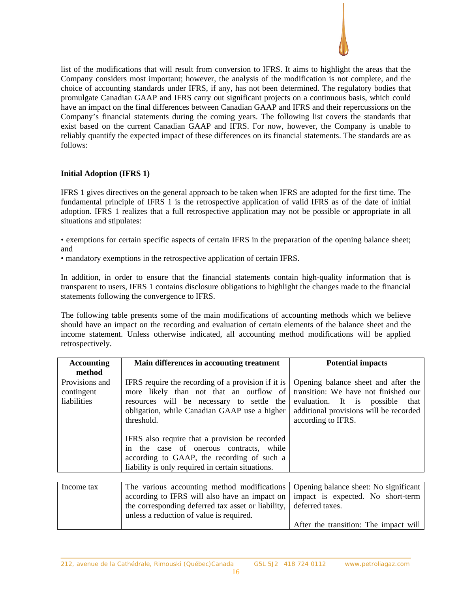

list of the modifications that will result from conversion to IFRS. It aims to highlight the areas that the Company considers most important; however, the analysis of the modification is not complete, and the choice of accounting standards under IFRS, if any, has not been determined. The regulatory bodies that promulgate Canadian GAAP and IFRS carry out significant projects on a continuous basis, which could have an impact on the final differences between Canadian GAAP and IFRS and their repercussions on the Company's financial statements during the coming years. The following list covers the standards that exist based on the current Canadian GAAP and IFRS. For now, however, the Company is unable to reliably quantify the expected impact of these differences on its financial statements. The standards are as follows:

# **Initial Adoption (IFRS 1)**

IFRS 1 gives directives on the general approach to be taken when IFRS are adopted for the first time. The fundamental principle of IFRS 1 is the retrospective application of valid IFRS as of the date of initial adoption. IFRS 1 realizes that a full retrospective application may not be possible or appropriate in all situations and stipulates:

• exemptions for certain specific aspects of certain IFRS in the preparation of the opening balance sheet; and

• mandatory exemptions in the retrospective application of certain IFRS.

In addition, in order to ensure that the financial statements contain high-quality information that is transparent to users, IFRS 1 contains disclosure obligations to highlight the changes made to the financial statements following the convergence to IFRS.

The following table presents some of the main modifications of accounting methods which we believe should have an impact on the recording and evaluation of certain elements of the balance sheet and the income statement. Unless otherwise indicated, all accounting method modifications will be applied retrospectively.

| <b>Accounting</b><br>method                 | Main differences in accounting treatment                                                                                                                                                                                                                                                                                                                                                                 | <b>Potential impacts</b>                                                                                                                                                          |
|---------------------------------------------|----------------------------------------------------------------------------------------------------------------------------------------------------------------------------------------------------------------------------------------------------------------------------------------------------------------------------------------------------------------------------------------------------------|-----------------------------------------------------------------------------------------------------------------------------------------------------------------------------------|
| Provisions and<br>contingent<br>liabilities | IFRS require the recording of a provision if it is<br>more likely than not that an outflow of<br>resources will be necessary to settle the<br>obligation, while Canadian GAAP use a higher<br>threshold.<br>IFRS also require that a provision be recorded<br>in the case of onerous contracts, while<br>according to GAAP, the recording of such a<br>liability is only required in certain situations. | Opening balance sheet and after the<br>transition: We have not finished our<br>evaluation. It is possible<br>that<br>additional provisions will be recorded<br>according to IFRS. |

| Income tax | The various accounting method modifications   Opening balance sheet: No significant |                                       |
|------------|-------------------------------------------------------------------------------------|---------------------------------------|
|            | according to IFRS will also have an impact on   impact is expected. No short-term   |                                       |
|            | the corresponding deferred tax asset or liability, deferred taxes.                  |                                       |
|            | unless a reduction of value is required.                                            |                                       |
|            |                                                                                     | After the transition: The impact will |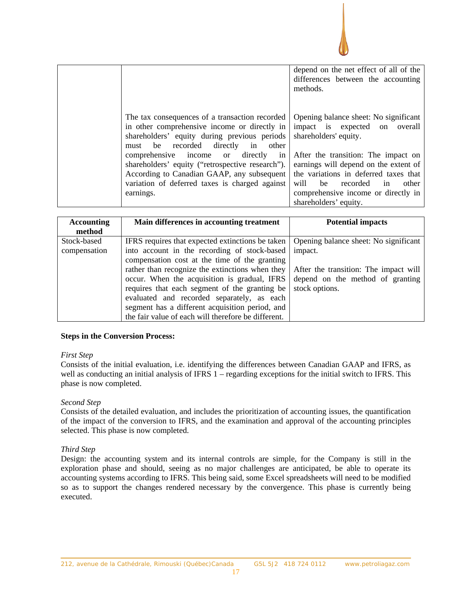|                                                                                                                                                                                                                                                                                                                                                                                                 | depend on the net effect of all of the<br>differences between the accounting<br>methods.                                                                                                                                                                                                                                       |
|-------------------------------------------------------------------------------------------------------------------------------------------------------------------------------------------------------------------------------------------------------------------------------------------------------------------------------------------------------------------------------------------------|--------------------------------------------------------------------------------------------------------------------------------------------------------------------------------------------------------------------------------------------------------------------------------------------------------------------------------|
| The tax consequences of a transaction recorded<br>in other comprehensive income or directly in<br>shareholders' equity during previous periods<br>must be recorded directly in other<br>comprehensive income or directly<br>in<br>shareholders' equity ("retrospective research").<br>According to Canadian GAAP, any subsequent<br>variation of deferred taxes is charged against<br>earnings. | Opening balance sheet: No significant<br>impact is expected on overall<br>shareholders' equity.<br>After the transition: The impact on<br>earnings will depend on the extent of<br>the variations in deferred taxes that<br>will be<br>recorded<br>other<br>in<br>comprehensive income or directly in<br>shareholders' equity. |

| <b>Accounting</b> | Main differences in accounting treatment            | <b>Potential impacts</b>              |
|-------------------|-----------------------------------------------------|---------------------------------------|
| method            |                                                     |                                       |
| Stock-based       | IFRS requires that expected extinctions be taken    | Opening balance sheet: No significant |
| compensation      | into account in the recording of stock-based        | impact.                               |
|                   | compensation cost at the time of the granting       |                                       |
|                   | rather than recognize the extinctions when they     | After the transition: The impact will |
|                   | occur. When the acquisition is gradual, IFRS        | depend on the method of granting      |
|                   | requires that each segment of the granting be       | stock options.                        |
|                   | evaluated and recorded separately, as each          |                                       |
|                   | segment has a different acquisition period, and     |                                       |
|                   | the fair value of each will therefore be different. |                                       |

#### **Steps in the Conversion Process:**

# *First Step*

Consists of the initial evaluation, i.e. identifying the differences between Canadian GAAP and IFRS, as well as conducting an initial analysis of IFRS 1 – regarding exceptions for the initial switch to IFRS. This phase is now completed.

# *Second Step*

Consists of the detailed evaluation, and includes the prioritization of accounting issues, the quantification of the impact of the conversion to IFRS, and the examination and approval of the accounting principles selected. This phase is now completed.

# *Third Step*

Design: the accounting system and its internal controls are simple, for the Company is still in the exploration phase and should, seeing as no major challenges are anticipated, be able to operate its accounting systems according to IFRS. This being said, some Excel spreadsheets will need to be modified so as to support the changes rendered necessary by the convergence. This phase is currently being executed.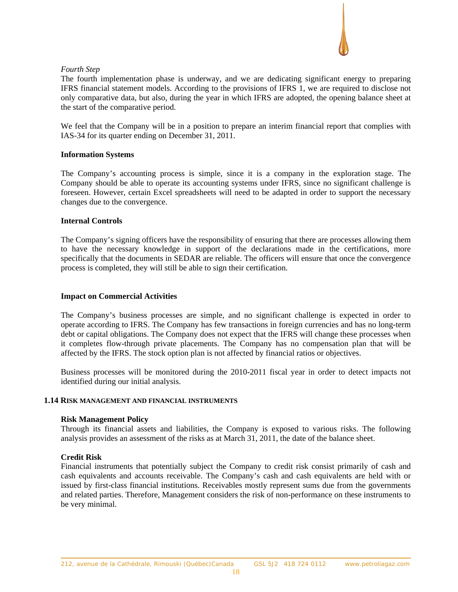### *Fourth Step*

The fourth implementation phase is underway, and we are dedicating significant energy to preparing IFRS financial statement models. According to the provisions of IFRS 1, we are required to disclose not only comparative data, but also, during the year in which IFRS are adopted, the opening balance sheet at the start of the comparative period.

We feel that the Company will be in a position to prepare an interim financial report that complies with IAS-34 for its quarter ending on December 31, 2011.

### **Information Systems**

The Company's accounting process is simple, since it is a company in the exploration stage. The Company should be able to operate its accounting systems under IFRS, since no significant challenge is foreseen. However, certain Excel spreadsheets will need to be adapted in order to support the necessary changes due to the convergence.

### **Internal Controls**

The Company's signing officers have the responsibility of ensuring that there are processes allowing them to have the necessary knowledge in support of the declarations made in the certifications, more specifically that the documents in SEDAR are reliable. The officers will ensure that once the convergence process is completed, they will still be able to sign their certification.

## **Impact on Commercial Activities**

The Company's business processes are simple, and no significant challenge is expected in order to operate according to IFRS. The Company has few transactions in foreign currencies and has no long-term debt or capital obligations. The Company does not expect that the IFRS will change these processes when it completes flow-through private placements. The Company has no compensation plan that will be affected by the IFRS. The stock option plan is not affected by financial ratios or objectives.

Business processes will be monitored during the 2010-2011 fiscal year in order to detect impacts not identified during our initial analysis.

#### **1.14 RISK MANAGEMENT AND FINANCIAL INSTRUMENTS**

#### **Risk Management Policy**

Through its financial assets and liabilities, the Company is exposed to various risks. The following analysis provides an assessment of the risks as at March 31, 2011, the date of the balance sheet.

# **Credit Risk**

Financial instruments that potentially subject the Company to credit risk consist primarily of cash and cash equivalents and accounts receivable. The Company's cash and cash equivalents are held with or issued by first-class financial institutions. Receivables mostly represent sums due from the governments and related parties. Therefore, Management considers the risk of non-performance on these instruments to be very minimal.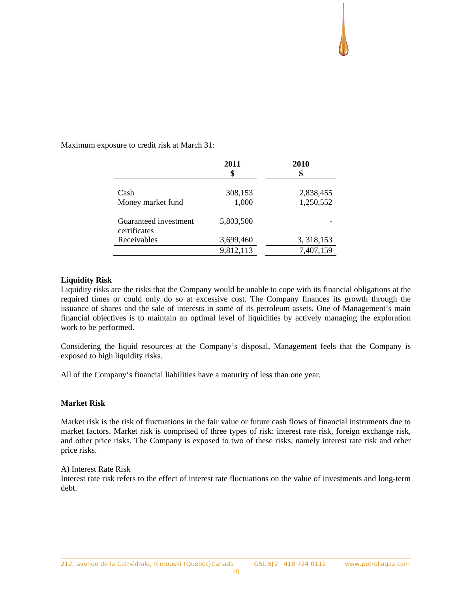Maximum exposure to credit risk at March 31:

|                                       | 2011<br>\$       | 2010<br>\$             |  |
|---------------------------------------|------------------|------------------------|--|
| Cash<br>Money market fund             | 308,153<br>1,000 | 2,838,455<br>1,250,552 |  |
| Guaranteed investment<br>certificates | 5,803,500        |                        |  |
| Receivables                           | 3,699,460        | 3, 318, 153            |  |
|                                       | 9,812,113        | 7,407,159              |  |

# **Liquidity Risk**

Liquidity risks are the risks that the Company would be unable to cope with its financial obligations at the required times or could only do so at excessive cost. The Company finances its growth through the issuance of shares and the sale of interests in some of its petroleum assets. One of Management's main financial objectives is to maintain an optimal level of liquidities by actively managing the exploration work to be performed.

Considering the liquid resources at the Company's disposal, Management feels that the Company is exposed to high liquidity risks.

All of the Company's financial liabilities have a maturity of less than one year.

#### **Market Risk**

Market risk is the risk of fluctuations in the fair value or future cash flows of financial instruments due to market factors. Market risk is comprised of three types of risk: interest rate risk, foreign exchange risk, and other price risks. The Company is exposed to two of these risks, namely interest rate risk and other price risks.

#### A) Interest Rate Risk

Interest rate risk refers to the effect of interest rate fluctuations on the value of investments and long-term debt.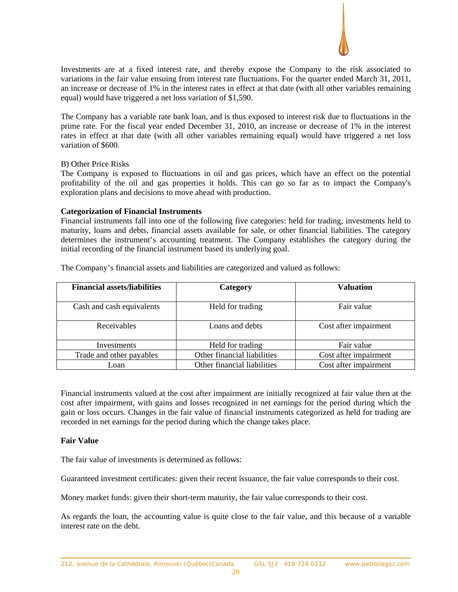

Investments are at a fixed interest rate, and thereby expose the Company to the risk associated to variations in the fair value ensuing from interest rate fluctuations. For the quarter ended March 31, 2011, an increase or decrease of 1% in the interest rates in effect at that date (with all other variables remaining equal) would have triggered a net loss variation of \$1,590.

The Company has a variable rate bank loan, and is thus exposed to interest risk due to fluctuations in the prime rate. For the fiscal year ended December 31, 2010, an increase or decrease of 1% in the interest rates in effect at that date (with all other variables remaining equal) would have triggered a net loss variation of \$600.

### B) Other Price Risks

The Company is exposed to fluctuations in oil and gas prices, which have an effect on the potential profitability of the oil and gas properties it holds. This can go so far as to impact the Company's exploration plans and decisions to move ahead with production.

### **Categorization of Financial Instruments**

Financial instruments fall into one of the following five categories: held for trading, investments held to maturity, loans and debts, financial assets available for sale, or other financial liabilities. The category determines the instrument's accounting treatment. The Company establishes the category during the initial recording of the financial instrument based its underlying goal.

| <b>Financial assets/liabilities</b> | Category                    | <b>Valuation</b>      |  |  |
|-------------------------------------|-----------------------------|-----------------------|--|--|
|                                     |                             |                       |  |  |
| Cash and cash equivalents           | Held for trading            | Fair value            |  |  |
|                                     |                             |                       |  |  |
| Receivables                         | Loans and debts             | Cost after impairment |  |  |
|                                     |                             |                       |  |  |
| Investments                         | Held for trading            | Fair value            |  |  |
| Trade and other payables            | Other financial liabilities | Cost after impairment |  |  |
| Loan                                | Other financial liabilities | Cost after impairment |  |  |

The Company's financial assets and liabilities are categorized and valued as follows:

Financial instruments valued at the cost after impairment are initially recognized at fair value then at the cost after impairment, with gains and losses recognized in net earnings for the period during which the gain or loss occurs. Changes in the fair value of financial instruments categorized as held for trading are recorded in net earnings for the period during which the change takes place.

# **Fair Value**

The fair value of investments is determined as follows:

Guaranteed investment certificates: given their recent issuance, the fair value corresponds to their cost.

Money market funds: given their short-term maturity, the fair value corresponds to their cost.

As regards the loan, the accounting value is quite close to the fair value, and this because of a variable interest rate on the debt.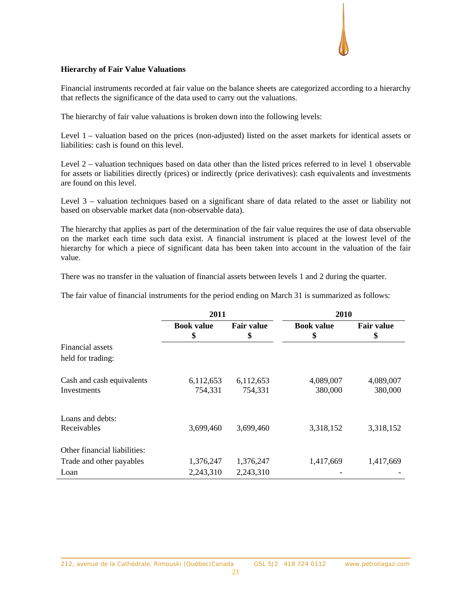# **Hierarchy of Fair Value Valuations**

Financial instruments recorded at fair value on the balance sheets are categorized according to a hierarchy that reflects the significance of the data used to carry out the valuations.

The hierarchy of fair value valuations is broken down into the following levels:

Level 1 – valuation based on the prices (non-adjusted) listed on the asset markets for identical assets or liabilities: cash is found on this level.

Level 2 – valuation techniques based on data other than the listed prices referred to in level 1 observable for assets or liabilities directly (prices) or indirectly (price derivatives): cash equivalents and investments are found on this level.

Level 3 – valuation techniques based on a significant share of data related to the asset or liability not based on observable market data (non-observable data).

The hierarchy that applies as part of the determination of the fair value requires the use of data observable on the market each time such data exist. A financial instrument is placed at the lowest level of the hierarchy for which a piece of significant data has been taken into account in the valuation of the fair value.

There was no transfer in the valuation of financial assets between levels 1 and 2 during the quarter.

The fair value of financial instruments for the period ending on March 31 is summarized as follows:

|                                 | 2011                    |                         | 2010                    |                         |  |
|---------------------------------|-------------------------|-------------------------|-------------------------|-------------------------|--|
|                                 | <b>Book value</b><br>\$ | <b>Fair value</b><br>\$ | <b>Book value</b><br>\$ | <b>Fair value</b><br>\$ |  |
| Financial assets                |                         |                         |                         |                         |  |
| held for trading:               |                         |                         |                         |                         |  |
| Cash and cash equivalents       | 6,112,653               | 6,112,653               | 4,089,007               | 4,089,007               |  |
| Investments                     | 754,331                 | 754,331                 | 380,000                 | 380,000                 |  |
| Loans and debts:<br>Receivables | 3,699,460               | 3,699,460               | 3,318,152               | 3,318,152               |  |
| Other financial liabilities:    |                         |                         |                         |                         |  |
| Trade and other payables        | 1,376,247               | 1,376,247               | 1,417,669               | 1,417,669               |  |
| Loan                            | 2,243,310               | 2,243,310               |                         |                         |  |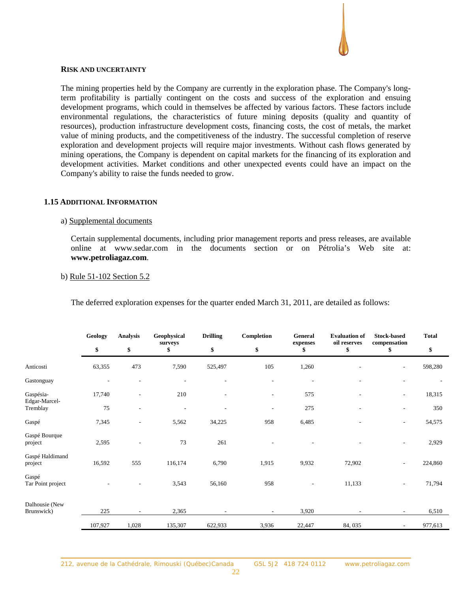#### **RISK AND UNCERTAINTY**

The mining properties held by the Company are currently in the exploration phase. The Company's longterm profitability is partially contingent on the costs and success of the exploration and ensuing development programs, which could in themselves be affected by various factors. These factors include environmental regulations, the characteristics of future mining deposits (quality and quantity of resources), production infrastructure development costs, financing costs, the cost of metals, the market value of mining products, and the competitiveness of the industry. The successful completion of reserve exploration and development projects will require major investments. Without cash flows generated by mining operations, the Company is dependent on capital markets for the financing of its exploration and development activities. Market conditions and other unexpected events could have an impact on the Company's ability to raise the funds needed to grow.

#### **1.15 ADDITIONAL INFORMATION**

#### a) Supplemental documents

Certain supplemental documents, including prior management reports and press releases, are available online at www.sedar.com in the documents section or on Pétrolia's Web site at: **www.petroliagaz.com**.

#### b) Rule 51-102 Section 5.2

The deferred exploration expenses for the quarter ended March 31, 2011, are detailed as follows:

|                              | Geology        | <b>Analysis</b> | Geophysical<br>surveys   | <b>Drilling</b>          | Completion               | General<br>expenses | <b>Evaluation of</b><br>oil reserves | <b>Stock-based</b><br>compensation | <b>Total</b> |
|------------------------------|----------------|-----------------|--------------------------|--------------------------|--------------------------|---------------------|--------------------------------------|------------------------------------|--------------|
|                              | \$             | \$              | \$                       | \$                       | \$                       | \$                  | \$                                   |                                    | \$           |
| Anticosti                    | 63,355         | 473             | 7,590                    | 525,497                  | 105                      | 1,260               |                                      | $\overline{\phantom{a}}$           | 598,280      |
| Gastonguay                   | $\overline{a}$ | $\overline{a}$  | $\overline{\phantom{a}}$ | $\overline{\phantom{a}}$ | $\overline{\phantom{a}}$ | ٠                   | $\overline{\phantom{a}}$             | $\overline{\phantom{a}}$           |              |
| Gaspésia-                    | 17,740         | ٠               | 210                      |                          | $\overline{\phantom{a}}$ | 575                 |                                      | $\overline{\phantom{a}}$           | 18,315       |
| Edgar-Marcel-<br>Tremblay    | 75             | $\overline{a}$  | $\overline{\phantom{a}}$ |                          | $\overline{\phantom{a}}$ | 275                 |                                      | $\overline{a}$                     | 350          |
| Gaspé                        | 7,345          | -               | 5,562                    | 34,225                   | 958                      | 6,485               |                                      | $\overline{\phantom{a}}$           | 54,575       |
| Gaspé Bourque<br>project     | 2,595          | $\overline{a}$  | 73                       | 261                      |                          |                     |                                      | $\overline{\phantom{a}}$           | 2,929        |
| Gaspé Haldimand<br>project   | 16,592         | 555             | 116,174                  | 6,790                    | 1,915                    | 9,932               | 72,902                               | $\overline{\phantom{a}}$           | 224,860      |
| Gaspé<br>Tar Point project   |                | $\overline{a}$  | 3,543                    | 56,160                   | 958                      | $\overline{a}$      | 11,133                               | $\overline{\phantom{a}}$           | 71,794       |
| Dalhousie (New<br>Brunswick) | 225            | $\sim$          | 2,365                    |                          |                          | 3,920               |                                      | $\overline{\phantom{a}}$           | 6,510        |
|                              | 107,927        | 1,028           | 135,307                  | 622,933                  | 3,936                    | 22,447              | 84, 035                              | $\overline{\phantom{a}}$           | 977,613      |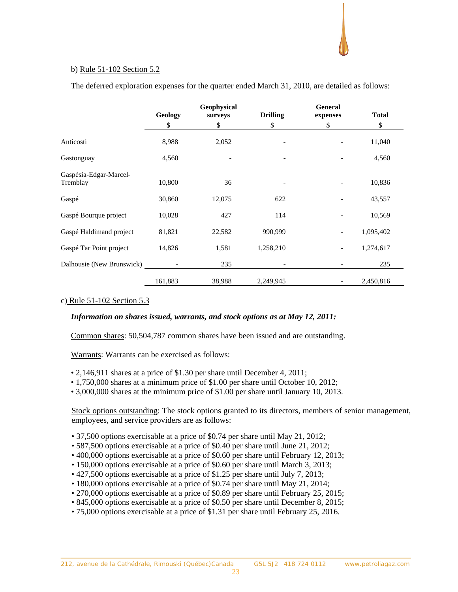# b) Rule 51-102 Section 5.2

The deferred exploration expenses for the quarter ended March 31, 2010, are detailed as follows:

|                                    | Geophysical |         |                 | General  |              |
|------------------------------------|-------------|---------|-----------------|----------|--------------|
|                                    | Geology     | surveys | <b>Drilling</b> | expenses | <b>Total</b> |
|                                    | \$          | \$      | \$              | \$       | \$           |
| Anticosti                          | 8,988       | 2,052   |                 |          | 11,040       |
| Gastonguay                         | 4,560       |         |                 |          | 4,560        |
| Gaspésia-Edgar-Marcel-<br>Tremblay | 10,800      | 36      |                 |          | 10,836       |
| Gaspé                              | 30,860      | 12,075  | 622             |          | 43,557       |
| Gaspé Bourque project              | 10,028      | 427     | 114             |          | 10,569       |
| Gaspé Haldimand project            | 81,821      | 22,582  | 990,999         |          | 1,095,402    |
| Gaspé Tar Point project            | 14,826      | 1,581   | 1,258,210       |          | 1,274,617    |
| Dalhousie (New Brunswick)          |             | 235     |                 |          | 235          |
|                                    | 161,883     | 38,988  | 2,249,945       |          | 2,450,816    |

#### c) Rule 51-102 Section 5.3

#### *Information on shares issued, warrants, and stock options as at May 12, 2011:*

Common shares: 50,504,787 common shares have been issued and are outstanding.

Warrants: Warrants can be exercised as follows:

- 2,146,911 shares at a price of \$1.30 per share until December 4, 2011;
- 1,750,000 shares at a minimum price of \$1.00 per share until October 10, 2012;
- 3,000,000 shares at the minimum price of \$1.00 per share until January 10, 2013.

Stock options outstanding: The stock options granted to its directors, members of senior management, employees, and service providers are as follows:

- 37,500 options exercisable at a price of \$0.74 per share until May 21, 2012;
- 587,500 options exercisable at a price of \$0.40 per share until June 21, 2012;
- 400,000 options exercisable at a price of \$0.60 per share until February 12, 2013;
- 150,000 options exercisable at a price of \$0.60 per share until March 3, 2013;
- 427,500 options exercisable at a price of \$1.25 per share until July 7, 2013;
- 180,000 options exercisable at a price of \$0.74 per share until May 21, 2014;
- 270,000 options exercisable at a price of \$0.89 per share until February 25, 2015;
- 845,000 options exercisable at a price of \$0.50 per share until December 8, 2015;
- 75,000 options exercisable at a price of \$1.31 per share until February 25, 2016.